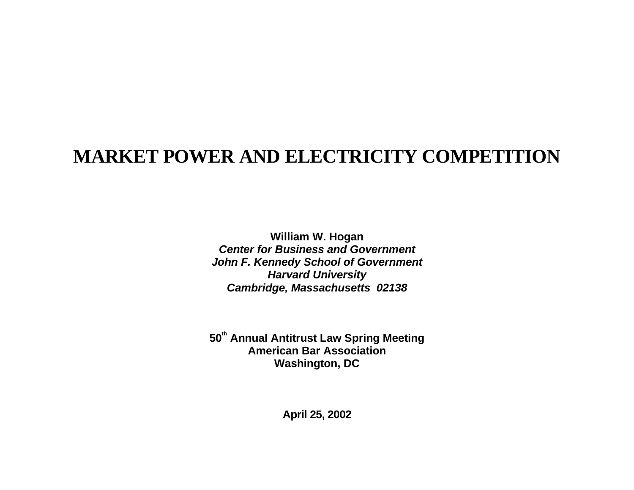## **MARKET POWER AND ELECTRICITY COMPETITION**

**William W. Hogan Center for Business and GovernmentJohn F. Kennedy School of Government Harvard University Cambridge, Massachusetts 02138**

**<sup>50</sup>th Annual Antitrust Law Spring Meeting American Bar AssociationWashington, DC**

**April 25, 2002**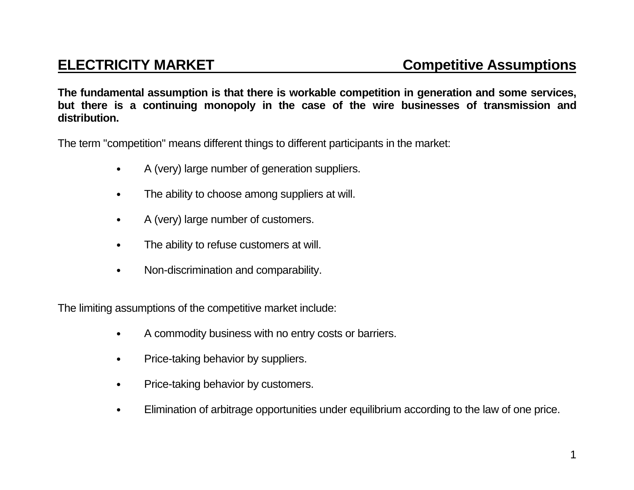**The fundamental assumption is that there is workable competition in generation and some services, but there is a continuing monopoly in the case of the wire businesses of transmission and distribution.**

The term "competition" means different things to different participants in the market:

- A (very) large number of generation suppliers.
- The ability to choose among suppliers at will.
- A (very) large number of customers.
- The ability to refuse customers at will.
- Non-discrimination and comparability.

The limiting assumptions of the competitive market include:

- A commodity business with no entry costs or barriers.
- Price-taking behavior by suppliers.
- Price-taking behavior by customers.
- Elimination of arbitrage opportunities under equilibrium according to the law of one price.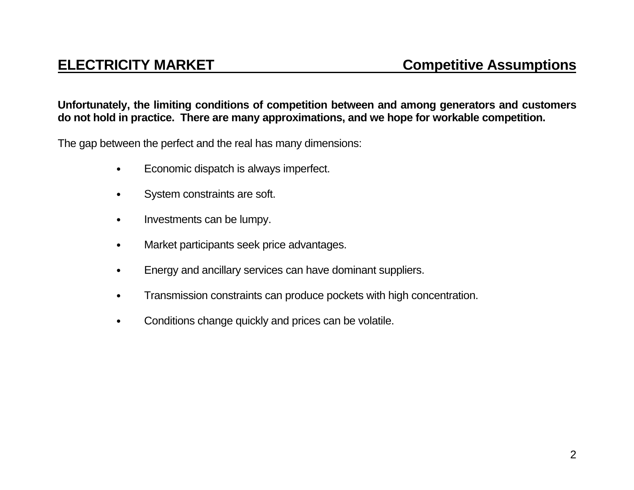## **Unfortunately, the limiting conditions of competition between and among generators and customers do not hold in practice. There are many approximations, and we hope for workable competition.**

The gap between the perfect and the real has many dimensions:

- Economic dispatch is always imperfect.
- System constraints are soft.
- Investments can be lumpy.
- Market participants seek price advantages.
- Energy and ancillary services can have dominant suppliers.
- Transmission constraints can produce pockets with high concentration.
- Conditions change quickly and prices can be volatile.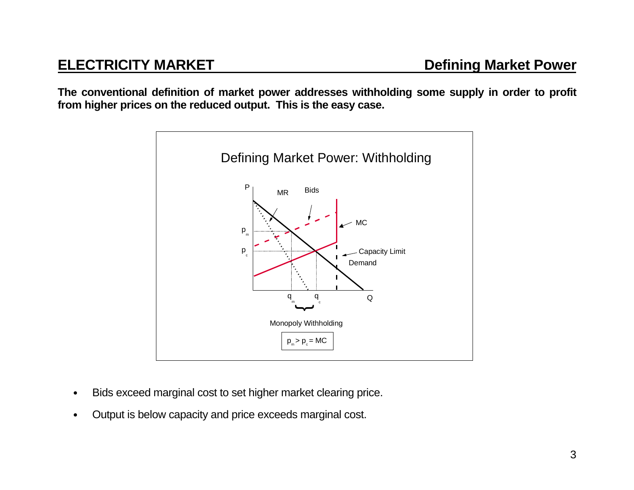**The conventional definition of market power addresses withholding some supply in order to profit from higher prices on the reduced output. This is the easy case.**



- Bids exceed marginal cost to set higher market clearing price.
- Output is below capacity and price exceeds marginal cost.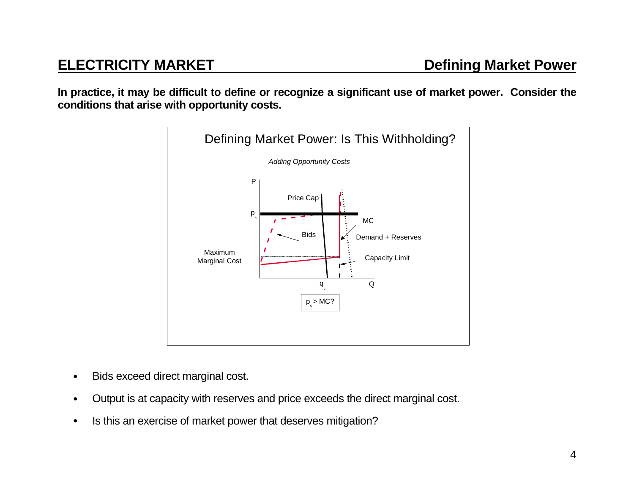**In practice, it may be difficult to define or recognize a significant use of market power. Consider the conditions that arise with opportunity costs.**



- Bids exceed direct marginal cost.
- Output is at capacity with reserves and price exceeds the direct marginal cost.
- Is this an exercise of market power that deserves mitigation?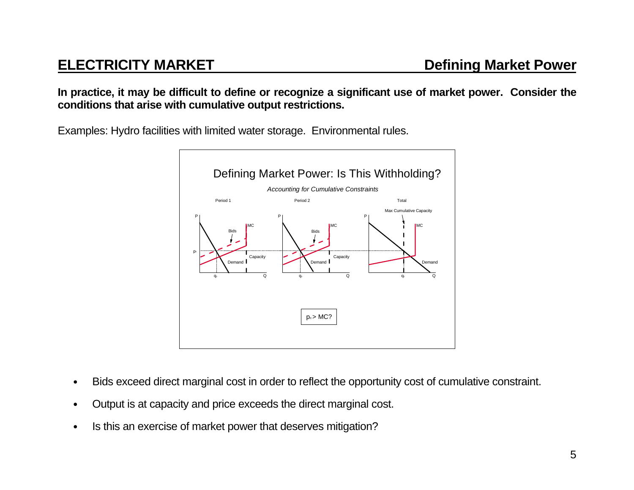**In practice, it may be difficult to define or recognize a significant use of market power. Consider the conditions that arise with cumulative output restrictions.**

Examples: Hydro facilities with limited water storage. Environmental rules.



- Bids exceed direct marginal cost in order to reflect the opportunity cost of cumulative constraint.
- Output is at capacity and price exceeds the direct marginal cost.
- Is this an exercise of market power that deserves mitigation?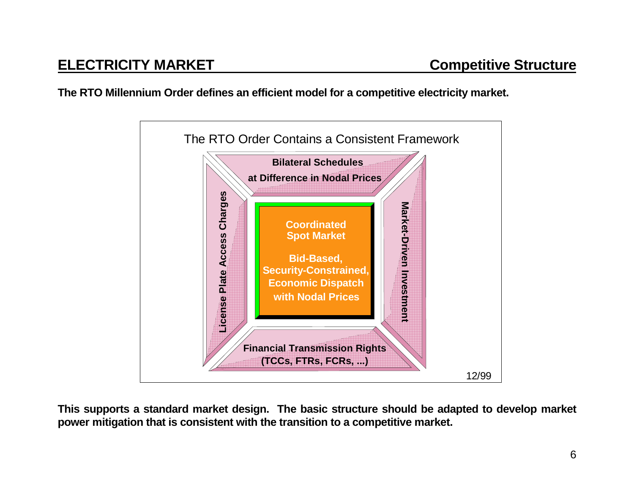**The RTO Millennium Order defines an efficient model for a competitive electricity market.**



**This supports a standard market design. The basic structure should be adapted to develop market power mitigation that is consistent with the transition to a competitive market.**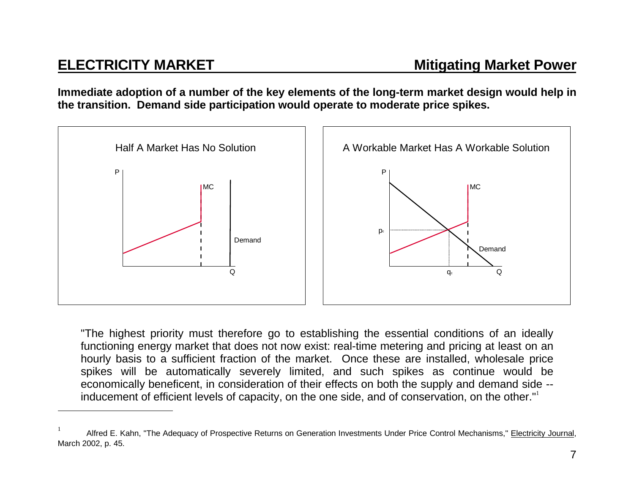**Immediate adoption of a number of the key elements of the long-term market design would help in the transition. Demand side participation would operate to moderate price spikes.**



"The highest priority must therefore go to establishing the essential conditions of an ideally functioning energy market that does not now exist: real-time metering and pricing at least on an hourly basis to a sufficient fraction of the market. Once these are installed, wholesale price spikes will be automatically severely limited, and such spikes as continue would be economically beneficent, in consideration of their effects on both the supply and demand side - inducement of efficient levels of capacity, on the one side, and of conservation, on the other."<sup>1</sup>

Alfred E. Kahn, "The Adequacy of Prospective Returns on Generation Investments Under Price Control Mechanisms," Electricity Journal, March 2002, p. 45.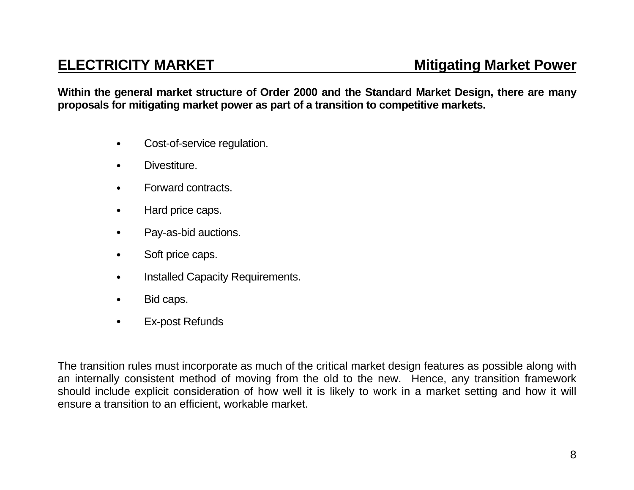## **ELECTRICITY MARKET**

**Within the general market structure of Order 2000 and the Standard Market Design, there are many proposals for mitigating market power as part of a transition to competitive markets.**

- Cost-of-service regulation.
- Divestiture.
- Forward contracts.
- Hard price caps.
- Pay-as-bid auctions.
- Soft price caps.
- Installed Capacity Requirements.
- Bid caps.
- **Ex-post Refunds**

The transition rules must incorporate as much of the critical market design features as possible along with an internally consistent method of moving from the old to the new. Hence, any transition framework should include explicit consideration of how well it is likely to work in a market setting and how it will ensure a transition to an efficient, workable market.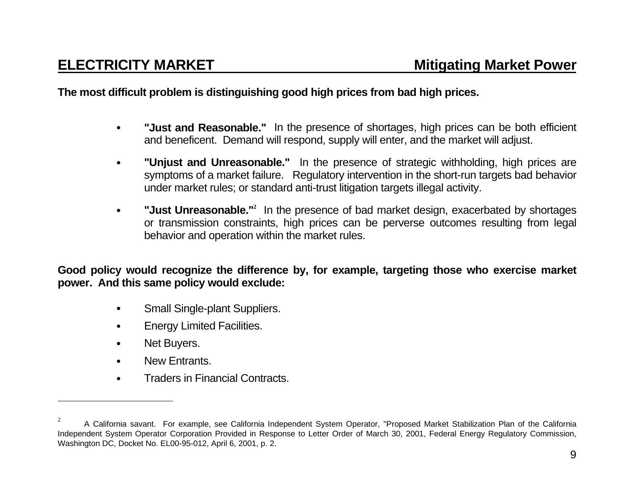## **The most difficult problem is distinguishing good high prices from bad high prices.**

- • **"Just and Reasonable."** In the presence of shortages, high prices can be both efficient and beneficent. Demand will respond, supply will enter, and the market will adjust.
- • **"Unjust and Unreasonable."** In the presence of strategic withholding, high prices are symptoms of a market failure. Regulatory intervention in the short-run targets bad behavior under market rules; or standard anti-trust litigation targets illegal activity.
- • **"Just Unreasonable."<sup>2</sup>** In the presence of bad market design, exacerbated by shortages or transmission constraints, high prices can be perverse outcomes resulting from legal behavior and operation within the market rules.

**Good policy would recognize the difference by, for example, targeting those who exercise market power. And this same policy would exclude:**

- Small Single-plant Suppliers.
- **Energy Limited Facilities.**
- Net Buyers.
- New Entrants.
- Traders in Financial Contracts.

 $2^2$  A California savant. For example, see California Independent System Operator, "Proposed Market Stabilization Plan of the California Independent System Operator Corporation Provided in Response to Letter Order of March 30, 2001, Federal Energy Regulatory Commission, Washington DC, Docket No. EL00-95-012, April 6, 2001, p. 2.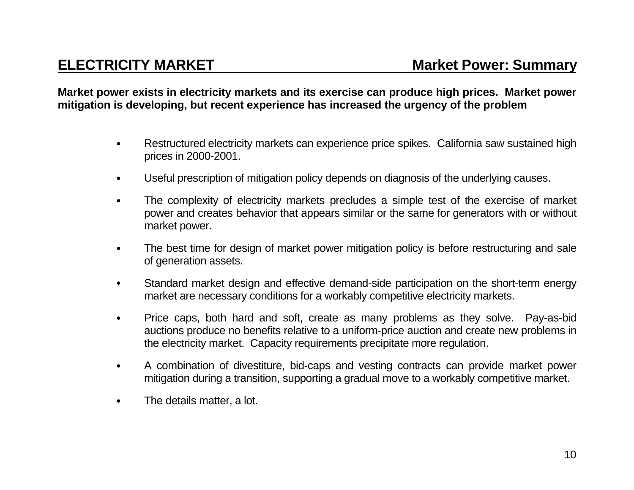**Market power exists in electricity markets and its exercise can produce high prices. Market power mitigation is developing, but recent experience has increased the urgency of the problem**

- Restructured electricity markets can experience price spikes. California saw sustained high prices in 2000-2001.
- Useful prescription of mitigation policy depends on diagnosis of the underlying causes.
- The complexity of electricity markets precludes a simple test of the exercise of market power and creates behavior that appears similar or the same for generators with or without market power.
- The best time for design of market power mitigation policy is before restructuring and sale of generation assets.
- Standard market design and effective demand-side participation on the short-term energy market are necessary conditions for a workably competitive electricity markets.
- Price caps, both hard and soft, create as many problems as they solve. Pay-as-bid auctions produce no benefits relative to a uniform-price auction and create new problems in the electricity market. Capacity requirements precipitate more regulation.
- A combination of divestiture, bid-caps and vesting contracts can provide market power mitigation during a transition, supporting a gradual move to a workably competitive market.
- The details matter, a lot.